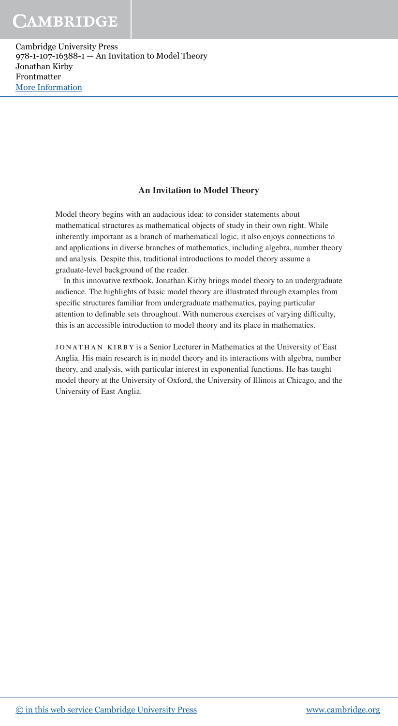### **An Invitation to Model Theory**

Model theory begins with an audacious idea: to consider statements about mathematical structures as mathematical objects of study in their own right. While inherently important as a branch of mathematical logic, it also enjoys connections to and applications in diverse branches of mathematics, including algebra, number theory and analysis. Despite this, traditional introductions to model theory assume a graduate-level background of the reader.

In this innovative textbook, Jonathan Kirby brings model theory to an undergraduate audience. The highlights of basic model theory are illustrated through examples from specific structures familiar from undergraduate mathematics, paying particular attention to definable sets throughout. With numerous exercises of varying difficulty, this is an accessible introduction to model theory and its place in mathematics.

JONATHAN KIRBY is a Senior Lecturer in Mathematics at the University of East Anglia. His main research is in model theory and its interactions with algebra, number theory, and analysis, with particular interest in exponential functions. He has taught model theory at the University of Oxford, the University of Illinois at Chicago, and the University of East Anglia.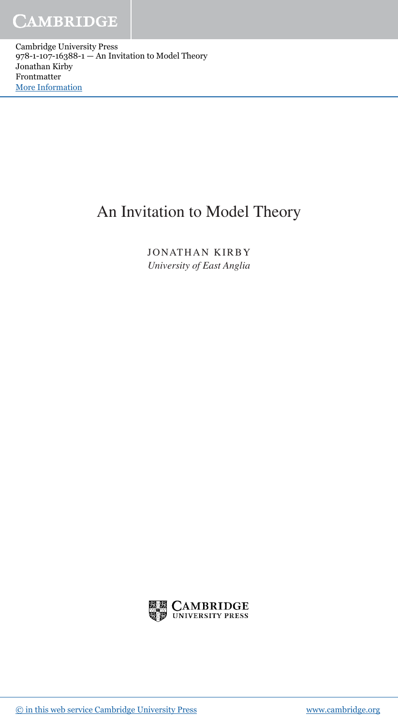## An Invitation to Model Theory

JONATHAN KIRBY *University of East Anglia*

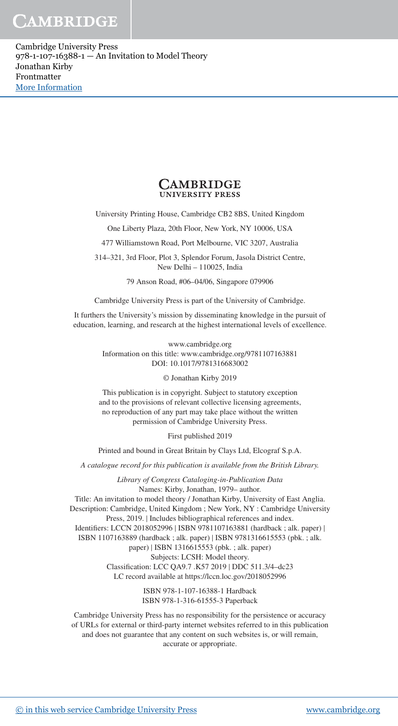#### **AMBRIDGE INIVERSITY PRESS**

University Printing House, Cambridge CB2 8BS, United Kingdom

One Liberty Plaza, 20th Floor, New York, NY 10006, USA

477 Williamstown Road, Port Melbourne, VIC 3207, Australia

314–321, 3rd Floor, Plot 3, Splendor Forum, Jasola District Centre, New Delhi – 110025, India

79 Anson Road, #06–04/06, Singapore 079906

Cambridge University Press is part of the University of Cambridge.

It furthers the University's mission by disseminating knowledge in the pursuit of education, learning, and research at the highest international levels of excellence.

> www.cambridge.org Information on this title: www.cambridge.org/9781107163881 DOI: 10.1017/9781316683002

> > © Jonathan Kirby 2019

This publication is in copyright. Subject to statutory exception and to the provisions of relevant collective licensing agreements, no reproduction of any part may take place without the written permission of Cambridge University Press.

First published 2019

Printed and bound in Great Britain by Clays Ltd, Elcograf S.p.A.

A catalogue record for this publication is available from the British Library.

*Library of Congress Cataloging-in-Publication Data* Names: Kirby, Jonathan, 1979– author.

Title: An invitation to model theory / Jonathan Kirby, University of East Anglia. Description: Cambridge, United Kingdom ; New York, NY : Cambridge University Press, 2019. | Includes bibliographical references and index.

Identifiers: LCCN 2018052996 | ISBN 9781107163881 (hardback ; alk. paper) |

ISBN 1107163889 (hardback ; alk. paper) | ISBN 9781316615553 (pbk. ; alk. paper) | ISBN 1316615553 (pbk. ; alk. paper)

Subjects: LCSH: Model theory.

Classification: LCC QA9.7 .K57 2019 | DDC 511.3/4–dc23 LC record available at https://lccn.loc.gov/2018052996

> ISBN 978-1-107-16388-1 Hardback ISBN 978-1-316-61555-3 Paperback

Cambridge University Press has no responsibility for the persistence or accuracy of URLs for external or third-party internet websites referred to in this publication and does not guarantee that any content on such websites is, or will remain, accurate or appropriate.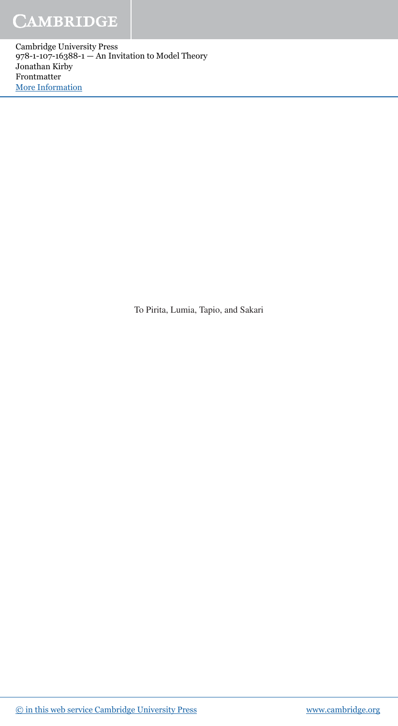Cambridge University Press 978-1-107-16388-1 — An Invitation to Model Theory Jonathan Kirby Frontmatter [More Information](www.cambridge.org/9781107163881)

To Pirita, Lumia, Tapio, and Sakari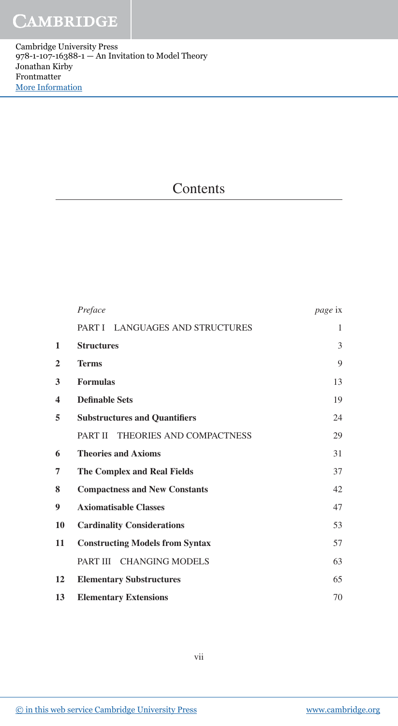### **Contents**

|                         | Preface                                    | <i>page</i> ix |
|-------------------------|--------------------------------------------|----------------|
|                         | PART I LANGUAGES AND STRUCTURES            | 1              |
| 1                       | <b>Structures</b>                          | 3              |
| $\mathbf{2}$            | <b>Terms</b>                               | 9              |
| 3                       | <b>Formulas</b>                            | 13             |
| $\overline{\mathbf{4}}$ | <b>Definable Sets</b>                      | 19             |
| 5                       | <b>Substructures and Quantifiers</b>       | 24             |
|                         | <b>PART II</b><br>THEORIES AND COMPACTNESS | 29             |
| 6                       | <b>Theories and Axioms</b>                 | 31             |
| 7                       | <b>The Complex and Real Fields</b>         | 37             |
| 8                       | <b>Compactness and New Constants</b>       | 42             |
| 9                       | <b>Axiomatisable Classes</b>               | 47             |
| 10                      | <b>Cardinality Considerations</b>          | 53             |
| 11                      | <b>Constructing Models from Syntax</b>     | 57             |
|                         | PART III CHANGING MODELS                   | 63             |
| 12                      | <b>Elementary Substructures</b>            | 65             |
| 13                      | <b>Elementary Extensions</b>               | 70             |

[© in this web service Cambridge University Press](www.cambridge.org) www.cambridge.org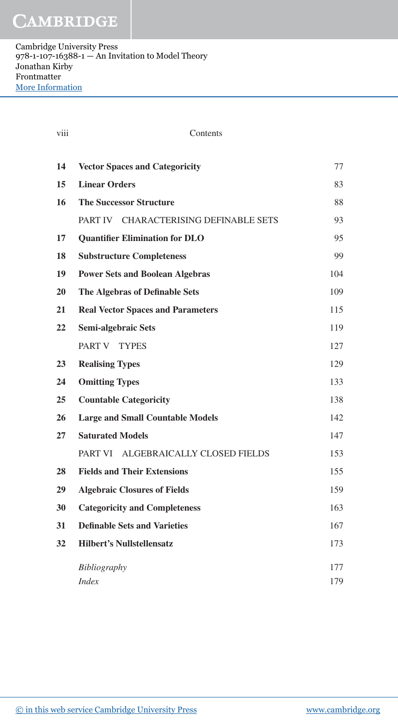| viii | Contents                                 |     |
|------|------------------------------------------|-----|
| 14   | <b>Vector Spaces and Categoricity</b>    | 77  |
| 15   | <b>Linear Orders</b>                     | 83  |
| 16   | <b>The Successor Structure</b>           | 88  |
|      | PART IV CHARACTERISING DEFINABLE SETS    | 93  |
| 17   | <b>Quantifier Elimination for DLO</b>    | 95  |
| 18   | <b>Substructure Completeness</b>         | 99  |
| 19   | <b>Power Sets and Boolean Algebras</b>   | 104 |
| 20   | The Algebras of Definable Sets           | 109 |
| 21   | <b>Real Vector Spaces and Parameters</b> | 115 |
| 22   | Semi-algebraic Sets                      | 119 |
|      | PART V TYPES                             | 127 |
| 23   | <b>Realising Types</b>                   | 129 |
| 24   | <b>Omitting Types</b>                    | 133 |
| 25   | <b>Countable Categoricity</b>            | 138 |
| 26   | <b>Large and Small Countable Models</b>  | 142 |
| 27   | <b>Saturated Models</b>                  | 147 |
|      | PART VI ALGEBRAICALLY CLOSED FIELDS      | 153 |
| 28   | <b>Fields and Their Extensions</b>       | 155 |
| 29   | <b>Algebraic Closures of Fields</b>      | 159 |
| 30   | <b>Categoricity and Completeness</b>     | 163 |
| 31   | <b>Definable Sets and Varieties</b>      | 167 |
| 32   | <b>Hilbert's Nullstellensatz</b>         | 173 |
|      | Bibliography                             | 177 |
|      | <i>Index</i>                             | 179 |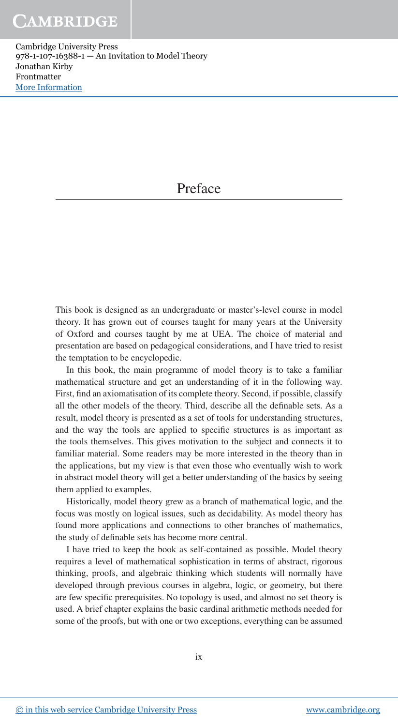### Preface

This book is designed as an undergraduate or master's-level course in model theory. It has grown out of courses taught for many years at the University of Oxford and courses taught by me at UEA. The choice of material and presentation are based on pedagogical considerations, and I have tried to resist the temptation to be encyclopedic.

In this book, the main programme of model theory is to take a familiar mathematical structure and get an understanding of it in the following way. First, find an axiomatisation of its complete theory. Second, if possible, classify all the other models of the theory. Third, describe all the definable sets. As a result, model theory is presented as a set of tools for understanding structures, and the way the tools are applied to specific structures is as important as the tools themselves. This gives motivation to the subject and connects it to familiar material. Some readers may be more interested in the theory than in the applications, but my view is that even those who eventually wish to work in abstract model theory will get a better understanding of the basics by seeing them applied to examples.

Historically, model theory grew as a branch of mathematical logic, and the focus was mostly on logical issues, such as decidability. As model theory has found more applications and connections to other branches of mathematics, the study of definable sets has become more central.

I have tried to keep the book as self-contained as possible. Model theory requires a level of mathematical sophistication in terms of abstract, rigorous thinking, proofs, and algebraic thinking which students will normally have developed through previous courses in algebra, logic, or geometry, but there are few specific prerequisites. No topology is used, and almost no set theory is used. A brief chapter explains the basic cardinal arithmetic methods needed for some of the proofs, but with one or two exceptions, everything can be assumed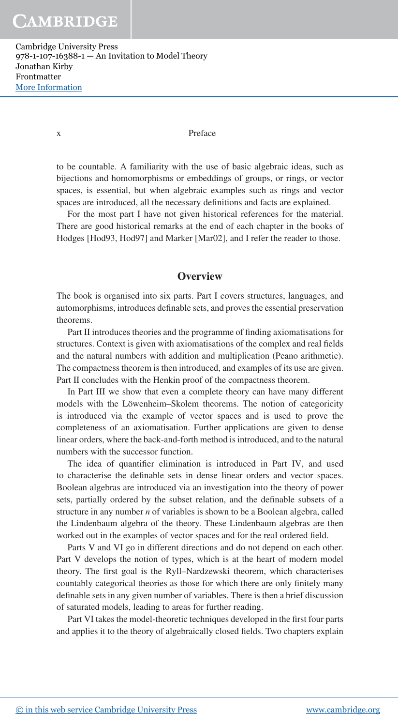Cambridge University Press 978-1-107-16388-1 — An Invitation to Model Theory Jonathan Kirby Frontmatter [More Information](www.cambridge.org/9781107163881)

x Preface

to be countable. A familiarity with the use of basic algebraic ideas, such as bijections and homomorphisms or embeddings of groups, or rings, or vector spaces, is essential, but when algebraic examples such as rings and vector spaces are introduced, all the necessary definitions and facts are explained.

For the most part I have not given historical references for the material. There are good historical remarks at the end of each chapter in the books of Hodges [Hod93, Hod97] and Marker [Mar02], and I refer the reader to those.

#### **Overview**

The book is organised into six parts. Part I covers structures, languages, and automorphisms, introduces definable sets, and proves the essential preservation theorems.

Part II introduces theories and the programme of finding axiomatisations for structures. Context is given with axiomatisations of the complex and real fields and the natural numbers with addition and multiplication (Peano arithmetic). The compactness theorem is then introduced, and examples of its use are given. Part II concludes with the Henkin proof of the compactness theorem.

In Part III we show that even a complete theory can have many different models with the Löwenheim–Skolem theorems. The notion of categoricity is introduced via the example of vector spaces and is used to prove the completeness of an axiomatisation. Further applications are given to dense linear orders, where the back-and-forth method is introduced, and to the natural numbers with the successor function.

The idea of quantifier elimination is introduced in Part IV, and used to characterise the definable sets in dense linear orders and vector spaces. Boolean algebras are introduced via an investigation into the theory of power sets, partially ordered by the subset relation, and the definable subsets of a structure in any number *n* of variables is shown to be a Boolean algebra, called the Lindenbaum algebra of the theory. These Lindenbaum algebras are then worked out in the examples of vector spaces and for the real ordered field.

Parts V and VI go in different directions and do not depend on each other. Part V develops the notion of types, which is at the heart of modern model theory. The first goal is the Ryll–Nardzewski theorem, which characterises countably categorical theories as those for which there are only finitely many definable sets in any given number of variables. There is then a brief discussion of saturated models, leading to areas for further reading.

Part VI takes the model-theoretic techniques developed in the first four parts and applies it to the theory of algebraically closed fields. Two chapters explain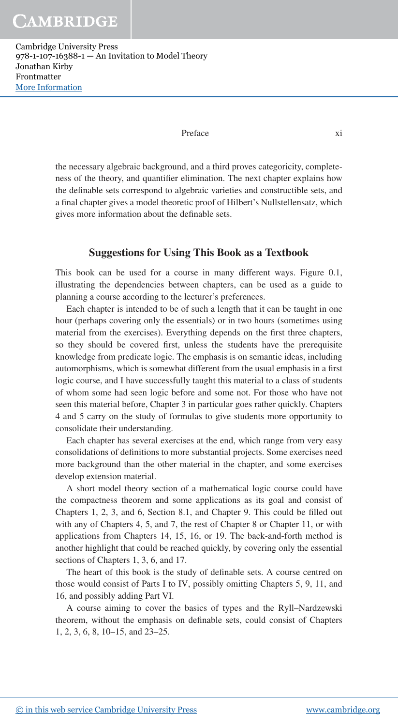Cambridge University Press 978-1-107-16388-1 — An Invitation to Model Theory Jonathan Kirby Frontmatter [More Information](www.cambridge.org/9781107163881)

Preface xi

the necessary algebraic background, and a third proves categoricity, completeness of the theory, and quantifier elimination. The next chapter explains how the definable sets correspond to algebraic varieties and constructible sets, and a final chapter gives a model theoretic proof of Hilbert's Nullstellensatz, which gives more information about the definable sets.

### **Suggestions for Using This Book as a Textbook**

This book can be used for a course in many different ways. Figure 0.1, illustrating the dependencies between chapters, can be used as a guide to planning a course according to the lecturer's preferences.

Each chapter is intended to be of such a length that it can be taught in one hour (perhaps covering only the essentials) or in two hours (sometimes using material from the exercises). Everything depends on the first three chapters, so they should be covered first, unless the students have the prerequisite knowledge from predicate logic. The emphasis is on semantic ideas, including automorphisms, which is somewhat different from the usual emphasis in a first logic course, and I have successfully taught this material to a class of students of whom some had seen logic before and some not. For those who have not seen this material before, Chapter 3 in particular goes rather quickly. Chapters 4 and 5 carry on the study of formulas to give students more opportunity to consolidate their understanding.

Each chapter has several exercises at the end, which range from very easy consolidations of definitions to more substantial projects. Some exercises need more background than the other material in the chapter, and some exercises develop extension material.

A short model theory section of a mathematical logic course could have the compactness theorem and some applications as its goal and consist of Chapters 1, 2, 3, and 6, Section 8.1, and Chapter 9. This could be filled out with any of Chapters 4, 5, and 7, the rest of Chapter 8 or Chapter 11, or with applications from Chapters 14, 15, 16, or 19. The back-and-forth method is another highlight that could be reached quickly, by covering only the essential sections of Chapters 1, 3, 6, and 17.

The heart of this book is the study of definable sets. A course centred on those would consist of Parts I to IV, possibly omitting Chapters 5, 9, 11, and 16, and possibly adding Part VI.

A course aiming to cover the basics of types and the Ryll–Nardzewski theorem, without the emphasis on definable sets, could consist of Chapters 1, 2, 3, 6, 8, 10–15, and 23–25.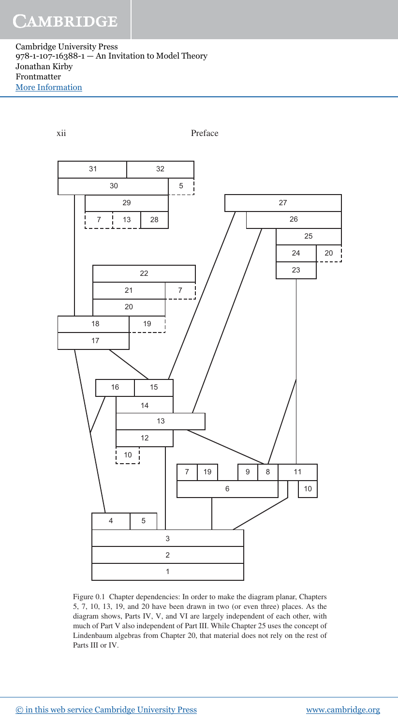

Figure 0.1 Chapter dependencies: In order to make the diagram planar, Chapters 5, 7, 10, 13, 19, and 20 have been drawn in two (or even three) places. As the diagram shows, Parts IV, V, and VI are largely independent of each other, with much of Part V also independent of Part III. While Chapter 25 uses the concept of Lindenbaum algebras from Chapter 20, that material does not rely on the rest of Parts III or IV.

xii Preface